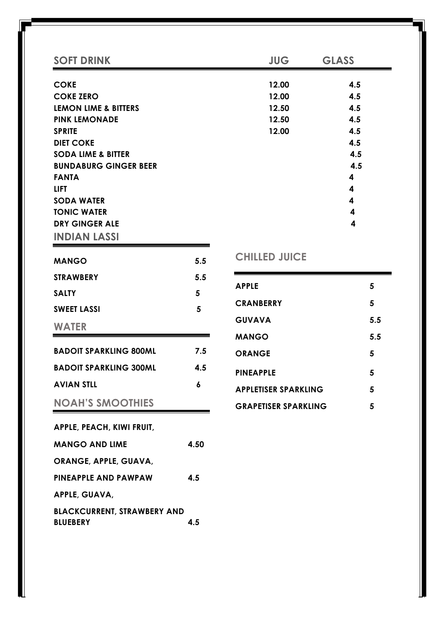| <b>SOFT DRINK</b>                            |      | <b>JUG</b>                  | <b>GLASS</b> |
|----------------------------------------------|------|-----------------------------|--------------|
| <b>COKE</b>                                  |      | 12.00                       | 4.5          |
| <b>COKE ZERO</b>                             |      | 12.00                       | 4.5          |
| <b>LEMON LIME &amp; BITTERS</b>              |      | 12.50                       | 4.5          |
| <b>PINK LEMONADE</b>                         |      | 12.50                       | 4.5          |
| <b>SPRITE</b>                                |      | 12.00                       | 4.5          |
| <b>DIET COKE</b>                             |      |                             | 4.5          |
| <b>SODA LIME &amp; BITTER</b>                |      |                             | 4.5          |
| <b>BUNDABURG GINGER BEER</b><br><b>FANTA</b> |      |                             | 4.5<br>4     |
| <b>LIFT</b>                                  |      |                             | 4            |
| <b>SODA WATER</b>                            |      |                             | 4            |
| <b>TONIC WATER</b>                           |      |                             | 4            |
| <b>DRY GINGER ALE</b>                        |      |                             | 4            |
| <b>INDIAN LASSI</b>                          |      |                             |              |
| <b>MANGO</b>                                 | 5.5  | <b>CHILLED JUICE</b>        |              |
| <b>STRAWBERY</b>                             | 5.5  |                             |              |
| <b>SALTY</b>                                 | 5    | <b>APPLE</b>                | 5            |
| <b>SWEET LASSI</b>                           | 5    | <b>CRANBERRY</b>            | 5            |
| <b>WATER</b>                                 |      | <b>GUVAVA</b>               | 5.5          |
|                                              |      | <b>MANGO</b>                | 5.5          |
| <b>BADOIT SPARKLING 800ML</b>                | 7.5  | <b>ORANGE</b>               | 5            |
| <b>BADOIT SPARKLING 300ML</b>                | 4.5  | <b>PINEAPPLE</b>            | 5            |
| <b>AVIAN STLL</b>                            | 6    | <b>APPLETISER SPARKLING</b> | 5            |
| <b>NOAH'S SMOOTHIES</b>                      |      | <b>GRAPETISER SPARKLING</b> | 5            |
| APPLE, PEACH, KIWI FRUIT,                    |      |                             |              |
| <b>MANGO AND LIME</b>                        | 4.50 |                             |              |

**ORANGE, APPLE, GUAVA, PINEAPPLE AND PAWPAW 4.5**

**APPLE, GUAVA,** 

**BLACKCURRENT, STRAWBERY AND BLUEBERY 4.5**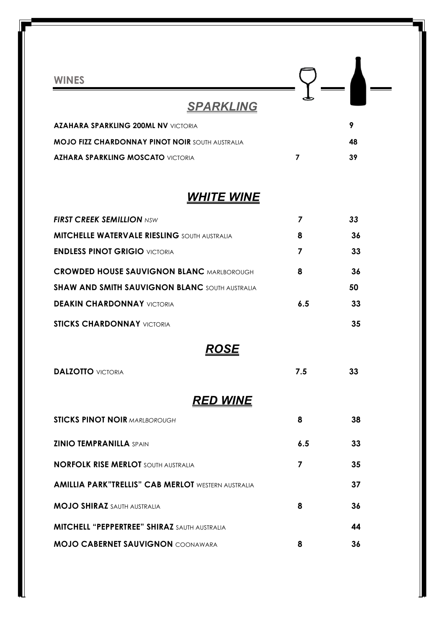| <b>WINES</b>                                              |                |    |
|-----------------------------------------------------------|----------------|----|
| <b>SPARKLING</b>                                          |                |    |
| <b>AZAHARA SPARKLING 200ML NV VICTORIA</b>                |                | 9  |
| <b>MOJO FIZZ CHARDONNAY PINOT NOIR SOUTH AUSTRALIA</b>    |                | 48 |
| <b>AZHARA SPARKLING MOSCATO VICTORIA</b>                  | 7              | 39 |
| <u>WHITE WINE</u>                                         |                |    |
| <b>FIRST CREEK SEMILLION NSW</b>                          | $\overline{z}$ | 33 |
| <b>MITCHELLE WATERVALE RIESLING</b> SOUTH AUSTRALIA       | 8              | 36 |
| <b>ENDLESS PINOT GRIGIO VICTORIA</b>                      | 7              | 33 |
| <b>CROWDED HOUSE SAUVIGNON BLANC MARLBOROUGH</b>          | 8              | 36 |
| <b>SHAW AND SMITH SAUVIGNON BLANC SOUTH AUSTRALIA</b>     |                | 50 |
| <b>DEAKIN CHARDONNAY VICTORIA</b>                         | 6.5            | 33 |
| <b>STICKS CHARDONNAY VICTORIA</b>                         |                | 35 |
| ROSE                                                      |                |    |
| <b>DALZOTTO VICTORIA</b>                                  | 7.5            | 33 |
| <u>RED WINE</u>                                           |                |    |
| <b>STICKS PINOT NOIR MARLBOROUGH</b>                      | 8              | 38 |
| <b>ZINIO TEMPRANILLA SPAIN</b>                            | 6.5            | 33 |
| <b>NORFOLK RISE MERLOT SOUTH AUSTRALIA</b>                | 7              | 35 |
| <b>AMILLIA PARK"TRELLIS" CAB MERLOT WESTERN AUSTRALIA</b> |                | 37 |
| <b>MOJO SHIRAZ SAUTH AUSTRALIA</b>                        | 8              | 36 |
| <b>MITCHELL "PEPPERTREE" SHIRAZ SAUTH AUSTRALIA</b>       |                | 44 |
| <b>MOJO CABERNET SAUVIGNON COONAWARA</b>                  | 8              | 36 |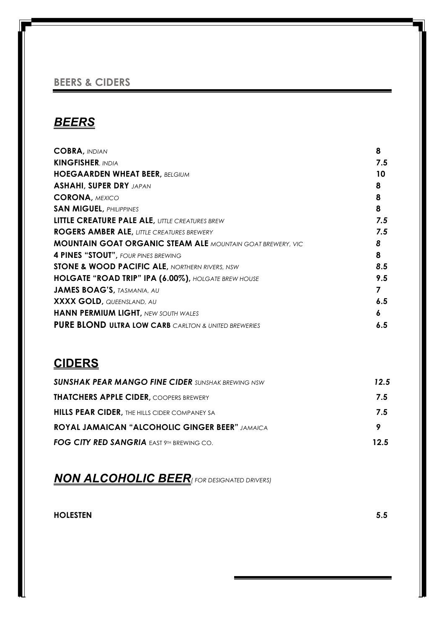#### **BEERS & CIDERS**

## *BEERS*

| <b>COBRA, INDIAN</b>                                              | 8   |
|-------------------------------------------------------------------|-----|
| <b>KINGFISHER, INDIA</b>                                          | 7.5 |
| <b>HOEGAARDEN WHEAT BEER, BELGIUM</b>                             | 10  |
| <b>ASHAHI, SUPER DRY JAPAN</b>                                    | 8   |
| <b>CORONA, MEXICO</b>                                             | 8   |
| <b>SAN MIGUEL, PHILIPPINES</b>                                    | 8   |
| <b>LITTLE CREATURE PALE ALE, LITTLE CREATURES BREW</b>            | 7.5 |
| <b>ROGERS AMBER ALE, LITTLE CREATURES BREWERY</b>                 | 7.5 |
| <b>MOUNTAIN GOAT ORGANIC STEAM ALE MOUNTAIN GOAT BREWERY, VIC</b> | 8   |
| 4 PINES "STOUT", FOUR PINES BREWING                               | 8   |
| <b>STONE &amp; WOOD PACIFIC ALE, NORTHERN RIVERS, NSW</b>         | 8.5 |
| HOLGATE "ROAD TRIP" IPA (6.00%), HOLGATE BREW HOUSE               | 9.5 |
| <b>JAMES BOAG'S, TASMANIA, AU</b>                                 |     |
| <b>XXXX GOLD, QUEENSLAND, AU</b>                                  | 6.5 |
| <b>HANN PERMIUM LIGHT, NEW SOUTH WALES</b>                        | 6   |
| <b>PURE BLOND ULTRA LOW CARB CARLTON &amp; UNITED BREWERIES</b>   | 6.5 |

### **CIDERS**

| <b>SUNSHAK PEAR MANGO FINE CIDER SUNSHAK BREWING NSW</b> | 12.5 |
|----------------------------------------------------------|------|
| <b>THATCHERS APPLE CIDER, COOPERS BREWERY</b>            | 7.5  |
| <b>HILLS PEAR CIDER, THE HILLS CIDER COMPANEY SA</b>     | 75   |
| <b>ROYAL JAMAICAN "ALCOHOLIC GINGER BEER" JAMAICA</b>    | 9    |
| FOG CITY RED SANGRIA EAST 9TH BREWING CO.                | 125  |

*NON ALCOHOLIC BEER( FOR DESIGNATED DRIVERS)*

**HOLESTEN 5.5**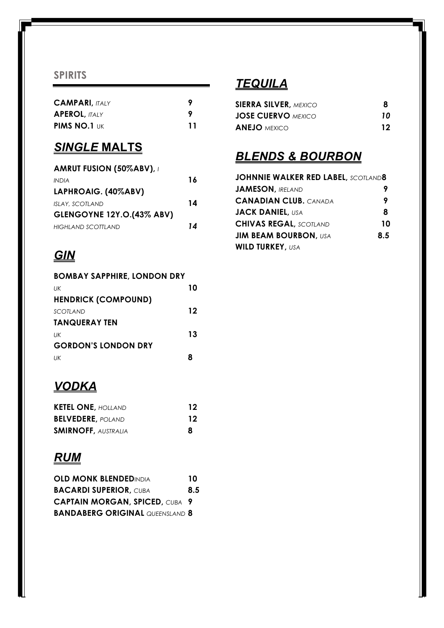#### **SPIRITS**

| <b>CAMPARI, ITALY</b> | Q  |
|-----------------------|----|
| <b>APEROL, ITALY</b>  | Q  |
| <b>PIMS NO.1 UK</b>   | 11 |

#### *SINGLE* **MALTS**

| <b>AMRUT FUSION (50%ABV), /</b>  |    |
|----------------------------------|----|
| <b>INDIA</b>                     | 16 |
| LAPHROAIG. (40%ABV)              |    |
| <b>ISLAY, SCOTLAND</b>           | 14 |
| <b>GLENGOYNE 12Y.O.(43% ABV)</b> |    |
| HIGHLAND SCOTTLAND               | 14 |

# *GIN*

| <b>BOMBAY SAPPHIRE, LONDON DRY</b> |    |
|------------------------------------|----|
| UК                                 | 10 |
| <b>HENDRICK (COMPOUND)</b>         |    |
| SCOTI AND                          | 12 |
| <b>TANQUERAY TEN</b>               |    |
| UK                                 | 13 |
| <b>GORDON'S LONDON DRY</b>         |    |
| UК                                 |    |

## *VODKA*

| <b>KETEL ONE, HOLLAND</b>  | 12 |
|----------------------------|----|
| <b>BELVEDERE, POLAND</b>   | 12 |
| <b>SMIRNOFF, AUSTRALIA</b> | 8  |

## *RUM*

| <b>OLD MONK BLENDEDINDIA</b>           | 10  |
|----------------------------------------|-----|
| <b>BACARDI SUPERIOR, CUBA</b>          | 8.5 |
| <b>CAPTAIN MORGAN, SPICED, CUBA 9</b>  |     |
| <b>BANDABERG ORIGINAL QUEENSLAND 8</b> |     |

## *TEQUILA*

| <b>SIERRA SILVER, MEXICO</b> |    |
|------------------------------|----|
| <b>JOSE CUERVO</b> MEXICO    | 10 |
| <b>ANEJO</b> mexico          | 12 |

## *BLENDS & BOURBON*

| <b>JOHNNIE WALKER RED LABEL, SCOTLAND8</b> |     |
|--------------------------------------------|-----|
| <b>JAMESON, IRELAND</b>                    |     |
| <b>CANADIAN CLUB. CANADA</b>               | 9   |
| <b>JACK DANIEL, USA</b>                    | 8   |
| <b>CHIVAS REGAL, SCOTLAND</b>              | 10  |
| <b>JIM BEAM BOURBON, USA</b>               | 8.5 |
| <b>WILD TURKEY, USA</b>                    |     |